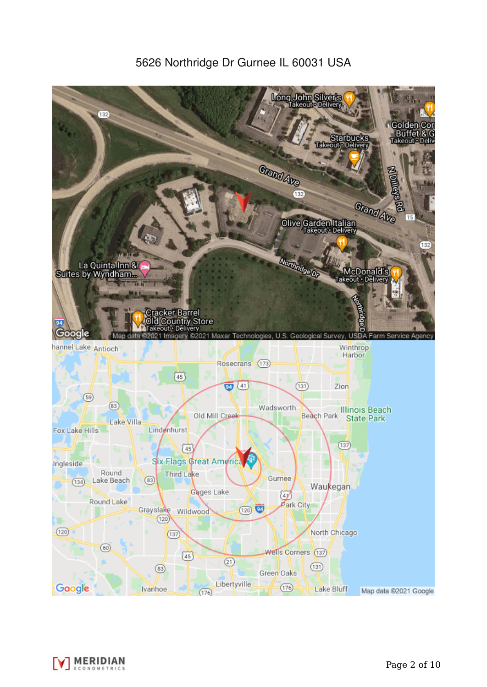5626 Northridge Dr Gurnee IL 60031 USA



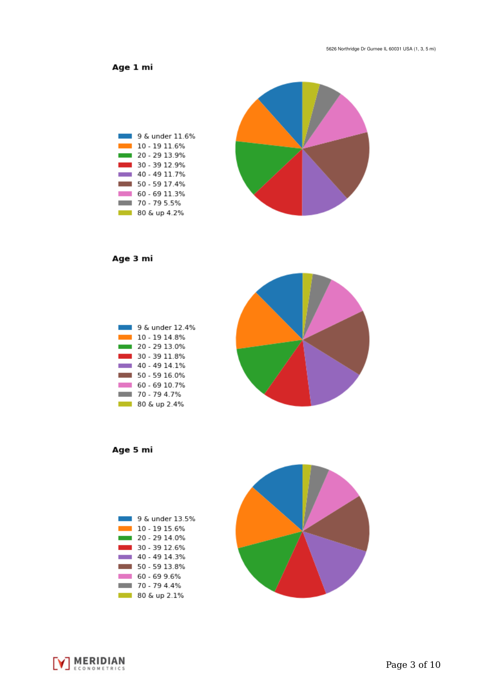Age 1 mi



Age 3 mi



Age 5 mi





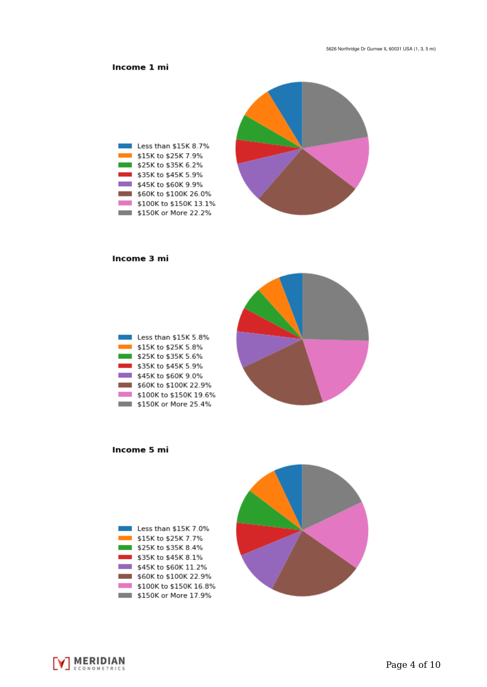## Income 1 mi



#### Income 3 mi

| Less than \$15K 5.8%   |
|------------------------|
| \$15K to \$25K 5.8%    |
| \$25K to \$35K 5.6%    |
| \$35K to \$45K 5.9%    |
| \$45K to \$60K 9.0%    |
| \$60K to \$100K 22.9%  |
| \$100K to \$150K 19.6% |
| \$150K or More 25.4%   |



Income 5 mi





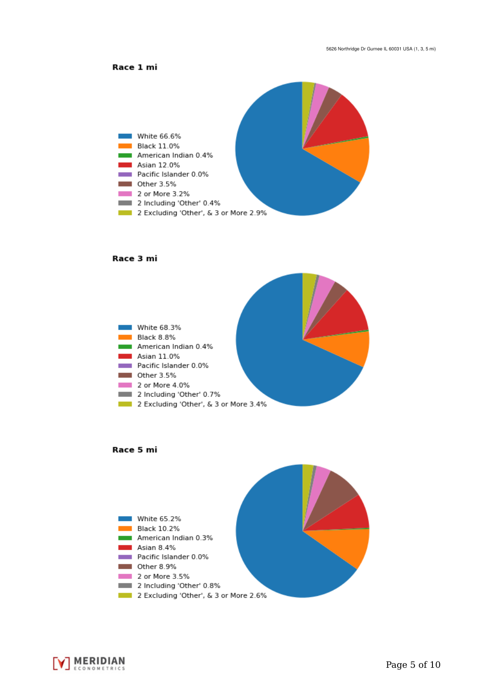



#### Race 3 mi







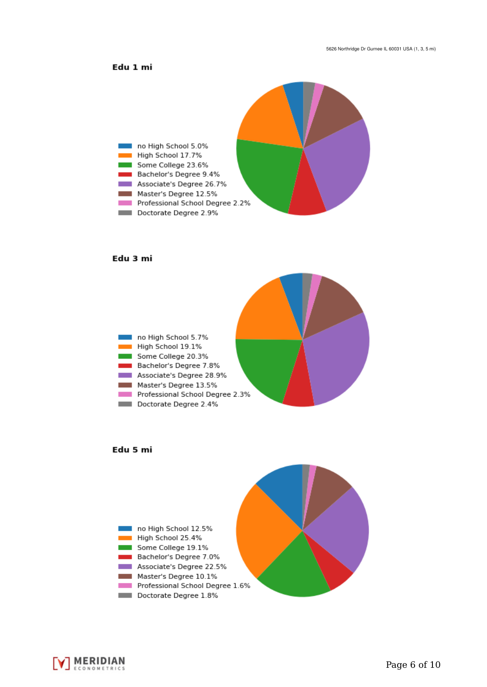## Edu 1 mi



### Edu 3 mi







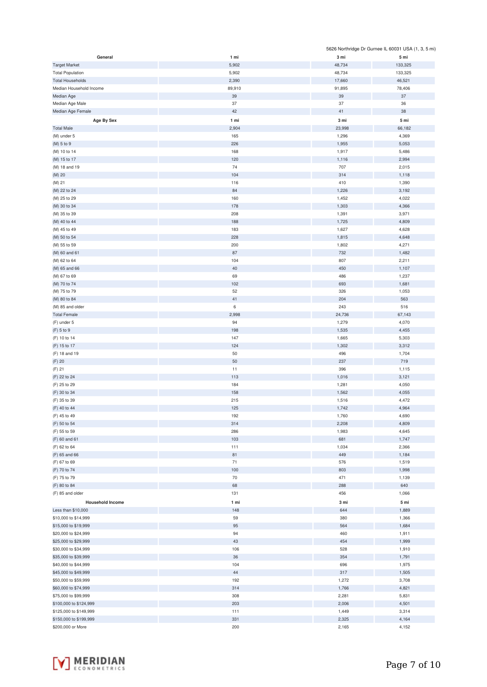|                         |        |        | 5626 Northridge Dr Gurnee IL 60031 USA (1, 3, 5 mi) |
|-------------------------|--------|--------|-----------------------------------------------------|
| General                 | 1 mi   | 3 mi   | 5 mi                                                |
| <b>Target Market</b>    | 5,902  | 48,734 | 133,325                                             |
| <b>Total Population</b> | 5,902  | 48,734 | 133,325                                             |
| <b>Total Households</b> | 2,390  | 17,660 | 46,521                                              |
| Median Household Income | 89,910 | 91,895 | 78,406                                              |
|                         |        |        |                                                     |
| Median Age              | 39     | 39     | $37\,$                                              |
| Median Age Male         | 37     | 37     | 36                                                  |
| Median Age Female       | 42     | 41     | 38                                                  |
| Age By Sex              | 1 mi   | 3 mi   | 5 mi                                                |
| <b>Total Male</b>       | 2,904  | 23,998 | 66,182                                              |
|                         |        | 1,296  | 4,369                                               |
| (M) under 5             | 165    |        |                                                     |
| (M) 5 to 9              | 226    | 1,955  | 5,053                                               |
| (M) 10 to 14            | 168    | 1,917  | 5,486                                               |
| (M) 15 to 17            | 120    | 1,116  | 2,994                                               |
| (M) 18 and 19           | 74     | 707    | 2,015                                               |
| (M) 20                  | 104    | 314    | 1,118                                               |
| (M) 21                  | 116    | 410    | 1,390                                               |
|                         | 84     | 1,226  | 3,192                                               |
| (M) 22 to 24            |        |        |                                                     |
| (M) 25 to 29            | 160    | 1,452  | 4,022                                               |
| (M) 30 to 34            | 178    | 1,303  | 4,366                                               |
| (M) 35 to 39            | 208    | 1,391  | 3,971                                               |
| (M) 40 to 44            | 188    | 1,725  | 4,809                                               |
| (M) 45 to 49            | 183    | 1,627  | 4,628                                               |
| (M) 50 to 54            | 228    | 1,815  | 4,648                                               |
| (M) 55 to 59            | 200    | 1,802  | 4,271                                               |
|                         |        |        |                                                     |
| (M) 60 and 61           | 87     | 732    | 1,482                                               |
| (M) 62 to 64            | 104    | 807    | 2,211                                               |
| (M) 65 and 66           | 40     | 450    | 1,107                                               |
| (M) 67 to 69            | 69     | 486    | 1,237                                               |
| (M) 70 to 74            | 102    | 693    | 1,681                                               |
| (M) 75 to 79            | 52     | 326    | 1,053                                               |
| (M) 80 to 84            | 41     | 204    | 563                                                 |
|                         |        |        |                                                     |
| (M) 85 and older        | 6      | 243    | 516                                                 |
| <b>Total Female</b>     | 2,998  | 24,736 | 67,143                                              |
| (F) under 5             | 94     | 1,279  | 4,070                                               |
| (F) 5 to 9              | 198    | 1,535  | 4,455                                               |
| (F) 10 to 14            | 147    | 1,665  | 5,303                                               |
| (F) 15 to 17            | 124    | 1,302  | 3,312                                               |
| (F) 18 and 19           | 50     | 496    | 1,704                                               |
|                         |        |        |                                                     |
| (F) 20                  | 50     | 237    | 719                                                 |
| (F) 21                  | 11     | 396    | 1,115                                               |
| (F) 22 to 24            | 113    | 1,016  | 3,121                                               |
| (F) 25 to 29            | 184    | 1,281  | 4,050                                               |
| (F) 30 to 34            | 158    | 1,562  | 4,055                                               |
| (F) 35 to 39            | 215    | 1,516  | 4,472                                               |
| (F) 40 to 44            | 125    | 1,742  | 4,964                                               |
|                         |        |        |                                                     |
| (F) 45 to 49            | 192    | 1,760  | 4,690                                               |
| (F) 50 to 54            | 314    | 2,208  | 4,809                                               |
| (F) 55 to 59            | 286    | 1,983  | 4,645                                               |
| (F) 60 and 61           | 103    | 681    | 1,747                                               |
| (F) 62 to 64            | 111    | 1,034  | 2,366                                               |
| (F) 65 and 66           | 81     | 449    | 1,184                                               |
| (F) 67 to 69            | 71     | 576    | 1,519                                               |
| (F) 70 to 74            | 100    | 803    | 1,998                                               |
|                         | 70     | 471    |                                                     |
| (F) 75 to 79            |        |        | 1,139                                               |
| (F) 80 to 84            | 68     | 288    | 640                                                 |
| (F) 85 and older        | 131    | 456    | 1,066                                               |
| <b>Household Income</b> | 1 mi   | 3 mi   | 5 mi                                                |
| Less than \$10,000      | 148    | 644    | 1,889                                               |
| \$10,000 to \$14,999    | 59     | 380    | 1,366                                               |
|                         |        |        |                                                     |
| \$15,000 to \$19,999    | 95     | 564    | 1,684                                               |
| \$20,000 to \$24,999    | 94     | 460    | 1,911                                               |
| \$25,000 to \$29,999    | 43     | 454    | 1,999                                               |
| \$30,000 to \$34,999    | 106    | 528    | 1,910                                               |
| \$35,000 to \$39,999    | 36     | 354    | 1,791                                               |
| \$40,000 to \$44,999    | 104    | 696    | 1,975                                               |
| \$45,000 to \$49,999    | 44     | 317    | 1,505                                               |
|                         |        |        |                                                     |
| \$50,000 to \$59,999    | 192    | 1,272  | 3,708                                               |
| \$60,000 to \$74,999    | 314    | 1,766  | 4,821                                               |
| \$75,000 to \$99,999    | 308    | 2,281  | 5,831                                               |
| \$100,000 to \$124,999  | 203    | 2,006  | 4,501                                               |
| \$125,000 to \$149,999  | 111    | 1,449  | 3,314                                               |
| \$150,000 to \$199,999  | 331    | 2,325  | 4,164                                               |
| \$200,000 or More       | 200    | 2,165  | 4,152                                               |

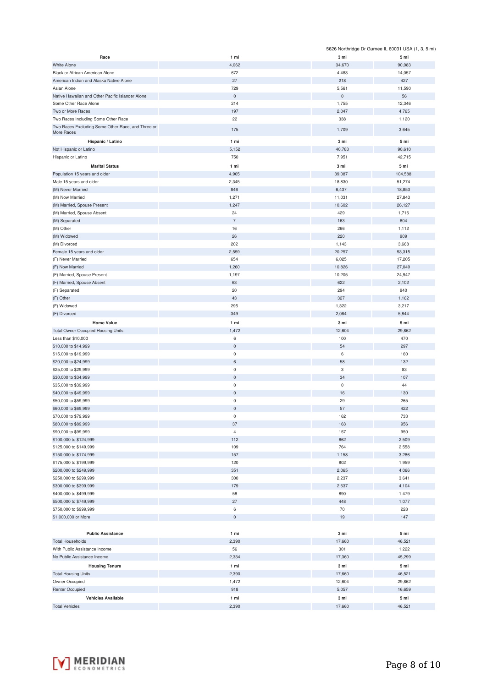|                                                          |                |                     | 5626 Northridge Dr Gurnee IL 60031 USA (1, 3, 5 mi) |
|----------------------------------------------------------|----------------|---------------------|-----------------------------------------------------|
| Race                                                     | 1 mi           | 3 mi                | 5 mi                                                |
| <b>White Alone</b>                                       | 4,062          | 34,670              | 90,083                                              |
| Black or African American Alone                          | 672            | 4,483               | 14,057                                              |
| American Indian and Alaska Native Alone                  | 27             | 218                 | 427                                                 |
| Asian Alone                                              | 729            | 5,561               | 11,590                                              |
| Native Hawaiian and Other Pacific Islander Alone         | $\mathbf 0$    | $\mathsf{O}\xspace$ | 56                                                  |
| Some Other Race Alone                                    | 214            | 1,755               | 12,346                                              |
| Two or More Races<br>Two Races Including Some Other Race | 197<br>22      | 2,047<br>338        | 4,765<br>1,120                                      |
| Two Races Excluding Some Other Race, and Three or        |                |                     |                                                     |
| More Races                                               | 175            | 1,709               | 3,645                                               |
| Hispanic / Latino                                        | 1 mi           | 3 mi                | 5 mi                                                |
| Not Hispanic or Latino                                   | 5,152          | 40,783              | 90,610                                              |
| Hispanic or Latino                                       | 750            | 7,951               | 42,715                                              |
| <b>Marital Status</b>                                    | 1 mi           | 3 mi                | 5 mi                                                |
| Population 15 years and older                            | 4,905          | 39,087              | 104,588                                             |
| Male 15 years and older                                  | 2,345          | 18,830              | 51,274                                              |
| (M) Never Married                                        | 846            | 6,437               | 18,853                                              |
| (M) Now Married                                          | 1,271          | 11,031              | 27,843                                              |
| (M) Married, Spouse Present                              | 1,247          | 10,602              | 26,127                                              |
| (M) Married, Spouse Absent                               | 24             | 429                 | 1,716                                               |
| (M) Separated                                            | $\overline{7}$ | 163                 | 604                                                 |
| (M) Other                                                | 16             | 266                 | 1,112                                               |
| (M) Widowed                                              | 26<br>202      | 220                 | 909                                                 |
| (M) Divorced<br>Female 15 years and older                | 2,559          | 1,143<br>20,257     | 3,668<br>53,315                                     |
| (F) Never Married                                        | 654            | 6,025               | 17,205                                              |
| (F) Now Married                                          | 1,260          | 10,826              | 27,049                                              |
| (F) Married, Spouse Present                              | 1,197          | 10,205              | 24,947                                              |
| (F) Married, Spouse Absent                               | 63             | 622                 | 2,102                                               |
| (F) Separated                                            | 20             | 294                 | 940                                                 |
| (F) Other                                                | 43             | 327                 | 1,162                                               |
| (F) Widowed                                              | 295            | 1,322               | 3,217                                               |
| (F) Divorced                                             | 349            | 2,084               | 5,844                                               |
| <b>Home Value</b>                                        | 1 mi           | 3 mi                | 5 mi                                                |
| <b>Total Owner Occupied Housing Units</b>                | 1,472          | 12,604              | 29,862                                              |
| Less than \$10,000                                       | 6              | 100                 | 470                                                 |
| \$10,000 to \$14,999                                     | $\mathsf 0$    | 54                  | 297                                                 |
| \$15,000 to \$19,999                                     | $\mathsf 0$    | 6                   | 160                                                 |
| \$20,000 to \$24,999                                     | $\,6\,$        | 58                  | 132                                                 |
| \$25,000 to \$29,999                                     | $\mathsf 0$    | 3                   | 83                                                  |
| \$30,000 to \$34,999                                     | $\mathsf 0$    | 34                  | 107                                                 |
| \$35,000 to \$39,999                                     | $\mathsf 0$    | $\mathbf 0$         | 44                                                  |
| \$40,000 to \$49,999                                     | $\mathbf 0$    | 16                  | 130                                                 |
| \$50,000 to \$59,999                                     | 0              | 29                  | 265                                                 |
| \$60,000 to \$69,999                                     | 0              | 57                  | 422                                                 |
| \$70,000 to \$79,999                                     | $\bf 0$        | 162                 | 733                                                 |
| \$80,000 to \$89,999                                     | 37             | 163                 | 956                                                 |
| \$90,000 to \$99,999                                     | $\overline{4}$ | 157                 | 950                                                 |
| \$100,000 to \$124,999                                   | 112<br>109     | 662<br>764          | 2,509                                               |
| \$125,000 to \$149,999<br>\$150,000 to \$174,999         | 157            | 1,158               | 2,558<br>3,286                                      |
| \$175,000 to \$199,999                                   | 120            | 802                 | 1,959                                               |
| \$200,000 to \$249,999                                   | 351            | 2,065               | 4,066                                               |
| \$250,000 to \$299,999                                   | 300            | 2,237               | 3,641                                               |
| \$300,000 to \$399,999                                   | 179            | 2,637               | 4,104                                               |
| \$400,000 to \$499,999                                   | 58             | 890                 | 1,479                                               |
| \$500,000 to \$749,999                                   | 27             | 448                 | 1,077                                               |
| \$750,000 to \$999,999                                   | 6              | 70                  | 228                                                 |
| \$1,000,000 or More                                      | $\mathsf 0$    | 19                  | 147                                                 |
|                                                          |                |                     |                                                     |
| <b>Public Assistance</b>                                 | 1 mi           | 3 mi                | 5 mi                                                |
| <b>Total Households</b>                                  | 2,390          | 17,660              | 46,521                                              |
| With Public Assistance Income                            | 56             | 301                 | 1,222                                               |
| No Public Assistance Income                              | 2,334          | 17,360              | 45,299                                              |
| <b>Housing Tenure</b>                                    | 1 mi           | 3 mi                | 5 mi                                                |
| <b>Total Housing Units</b>                               | 2,390          | 17,660              | 46,521                                              |
| Owner Occupied                                           | 1,472          | 12,604              | 29,862                                              |
| <b>Renter Occupied</b>                                   | 918            | 5,057               | 16,659                                              |
| <b>Vehicles Available</b>                                | 1 mi           | 3 mi                | 5 mi                                                |
| <b>Total Vehicles</b>                                    | 2,390          | 17,660              | 46,521                                              |

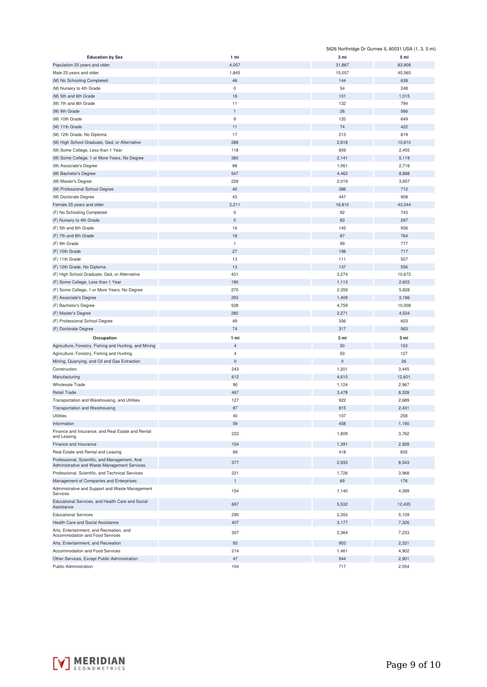|                                                              |                     | 5626 Northridge Dr Gurnee IL 60031 USA (1, 3, 5 mi) |        |
|--------------------------------------------------------------|---------------------|-----------------------------------------------------|--------|
| <b>Education by Sex</b>                                      | 1 mi                | 3 mi                                                | 5 mi   |
| Population 25 years and older                                | 4,057               | 31,867                                              | 83,909 |
| Male 25 years and older                                      | 1,845               | 15,057                                              | 40,565 |
| (M) No Schooling Completed                                   | 46                  | 144                                                 | 638    |
| (M) Nursery to 4th Grade                                     | $\mathbf 0$         | 54                                                  | 248    |
| (M) 5th and 6th Grade                                        | 18                  | 101                                                 | 1,015  |
| (M) 7th and 8th Grade                                        | 11                  | 132                                                 | 794    |
| (M) 9th Grade                                                | $\mathbf{1}$        | 26                                                  | 566    |
| (M) 10th Grade                                               | 9                   | 120                                                 | 649    |
| (M) 11th Grade                                               | 11                  | 74                                                  | 422    |
| (M) 12th Grade, No Diploma                                   | 17                  | 213                                                 | 819    |
|                                                              |                     |                                                     |        |
| (M) High School Graduate, Ged, or Alternative                | 288                 | 2,818                                               | 10,610 |
| (M) Some College, Less than 1 Year                           | 118                 | 859                                                 | 2,455  |
| (M) Some College, 1 or More Years, No Degree                 | 380                 | 2,141                                               | 5,119  |
| (M) Associate's Degree                                       | 88                  | 1,061                                               | 2,716  |
| (M) Bachelor's Degree                                        | 547                 | 4,462                                               | 8,888  |
| (M) Master's Degree                                          | 228                 | 2,019                                               | 3,957  |
| (M) Professional School Degree                               | 40                  | 386                                                 | 712    |
| (M) Doctorate Degree                                         | 43                  | 447                                                 | 958    |
| Female 25 years and older                                    | 2,211               | 16,810                                              | 43,344 |
| (F) No Schooling Completed                                   | $\bf 0$             | 92                                                  | 743    |
| (F) Nursery to 4th Grade                                     | $\bf 0$             | 83                                                  | 297    |
| (F) 5th and 6th Grade                                        | 16                  | 145                                                 | 936    |
| (F) 7th and 8th Grade                                        | 18                  | 87                                                  | 764    |
| (F) 9th Grade                                                | $\mathbf{1}$        | 99                                                  | 777    |
| (F) 10th Grade                                               | 27                  | 198                                                 | 717    |
| (F) 11th Grade                                               | 13                  | 111                                                 | 557    |
| (F) 12th Grade, No Diploma                                   | 13                  | 137                                                 | 556    |
| (F) High School Graduate, Ged, or Alternative                | 431                 | 3,274                                               | 10,672 |
| (F) Some College, Less than 1 Year                           | 190                 | 1,113                                               | 2,603  |
| (F) Some College, 1 or More Years, No Degree                 | 270                 | 2,359                                               | 5,828  |
|                                                              | 293                 |                                                     |        |
| (F) Associate's Degree                                       |                     | 1,409                                               | 3,186  |
| (F) Bachelor's Degree                                        | 538                 | 4,759                                               | 10,008 |
| (F) Master's Degree                                          | 280                 | 2,271                                               | 4,534  |
| (F) Professional School Degree                               | 49                  | 356                                                 | 603    |
| (F) Doctorate Degree                                         | 74                  | 317                                                 | 563    |
| Occupation                                                   | 1 mi                | 3 mi                                                | 5 mi   |
| Agriculture, Forestry, Fishing and Hunting, and Mining       | $\sqrt{4}$          | 50                                                  | 153    |
| Agriculture, Forestry, Fishing and Hunting                   | $\overline{4}$      | 50                                                  | 127    |
| Mining, Quarrying, and Oil and Gas Extraction                | $\mathsf{O}\xspace$ | $\pmb{0}$                                           | 26     |
| Construction                                                 | 243                 | 1,201                                               | 3,445  |
| Manufacturing                                                | 612                 | 4,610                                               | 12,601 |
| Wholesale Trade                                              | 90                  | 1,124                                               | 2,967  |
| <b>Retail Trade</b>                                          | 467                 | 3,478                                               | 8,328  |
| Transportation and Warehousing, and Utilities                | 127                 | 922                                                 | 2,689  |
| Transportation and Warehousing                               | 87                  | 815                                                 | 2,431  |
| Utilities                                                    | 40                  | 107                                                 | 258    |
| Information                                                  | 59                  | 458                                                 | 1,190  |
| Finance and Insurance, and Real Estate and Rental            |                     |                                                     |        |
| and Leasing                                                  | 222                 | 1,809                                               | 3,762  |
| Finance and Insurance                                        | 154                 | 1,391                                               | 2,928  |
| Real Estate and Rental and Leasing                           | 69                  | 418                                                 | 835    |
| Professional, Scientific, and Management, And                |                     |                                                     |        |
| Administrative and Waste Management Services                 | 377                 | 2,935                                               | 8,543  |
| Professional, Scientific, and Technical Services             | 221                 | 1,726                                               | 3,968  |
| Management of Companies and Enterprises                      | $\mathbf{1}$        | 69                                                  | 176    |
| Administrative and Support and Waste Management              | 154                 | 1,140                                               | 4,399  |
| Services<br>Educational Services, and Health Care and Social |                     |                                                     |        |
| Assistance                                                   | 697                 | 5,532                                               | 12,435 |
| <b>Educational Services</b>                                  | 290                 | 2,355                                               | 5,109  |
| Health Care and Social Assistance                            | 407                 | 3,177                                               | 7,326  |
| Arts, Entertainment, and Recreation, and                     | 307                 | 2,364                                               | 7,233  |
| Accommodation and Food Services                              |                     |                                                     |        |
| Arts, Entertainment, and Recreation                          | 93                  | 903                                                 | 2,331  |
| Accommodation and Food Services                              | 214                 | 1,461                                               | 4,902  |
| Other Services, Except Public Administration                 | 47                  | 944                                                 | 2,901  |
| Public Administration                                        | 104                 | 717                                                 | 2,054  |